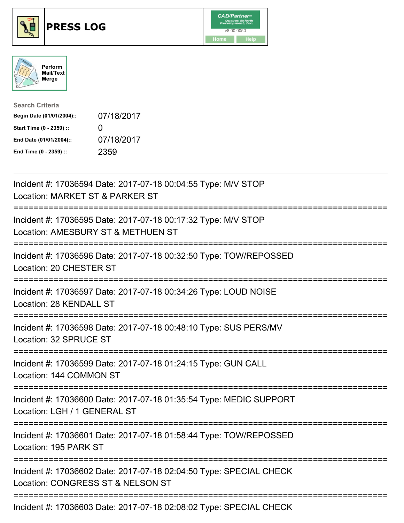





| <b>Search Criteria</b>    |              |
|---------------------------|--------------|
| Begin Date (01/01/2004):: | 07/18/2017   |
| Start Time (0 - 2359) ::  | $\mathbf{I}$ |
| End Date (01/01/2004)::   | 07/18/2017   |
| End Time (0 - 2359) ::    | 2359         |

| Incident #: 17036594 Date: 2017-07-18 00:04:55 Type: M/V STOP<br>Location: MARKET ST & PARKER ST                |
|-----------------------------------------------------------------------------------------------------------------|
| Incident #: 17036595 Date: 2017-07-18 00:17:32 Type: M/V STOP<br>Location: AMESBURY ST & METHUEN ST<br>-------- |
| Incident #: 17036596 Date: 2017-07-18 00:32:50 Type: TOW/REPOSSED<br>Location: 20 CHESTER ST                    |
| Incident #: 17036597 Date: 2017-07-18 00:34:26 Type: LOUD NOISE<br>Location: 28 KENDALL ST<br>:================ |
| Incident #: 17036598 Date: 2017-07-18 00:48:10 Type: SUS PERS/MV<br>Location: 32 SPRUCE ST                      |
| Incident #: 17036599 Date: 2017-07-18 01:24:15 Type: GUN CALL<br>Location: 144 COMMON ST                        |
| Incident #: 17036600 Date: 2017-07-18 01:35:54 Type: MEDIC SUPPORT<br>Location: LGH / 1 GENERAL ST              |
| Incident #: 17036601 Date: 2017-07-18 01:58:44 Type: TOW/REPOSSED<br>Location: 195 PARK ST                      |
| Incident #: 17036602 Date: 2017-07-18 02:04:50 Type: SPECIAL CHECK<br>Location: CONGRESS ST & NELSON ST         |
| Incident #: 17036603 Date: 2017-07-18 02:08:02 Type: SPECIAL CHECK                                              |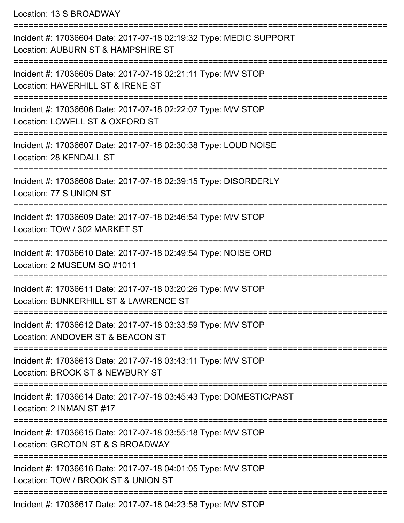Location: 13 S BROADWAY

| Incident #: 17036604 Date: 2017-07-18 02:19:32 Type: MEDIC SUPPORT<br>Location: AUBURN ST & HAMPSHIRE ST |
|----------------------------------------------------------------------------------------------------------|
| Incident #: 17036605 Date: 2017-07-18 02:21:11 Type: M/V STOP<br>Location: HAVERHILL ST & IRENE ST       |
| Incident #: 17036606 Date: 2017-07-18 02:22:07 Type: M/V STOP<br>Location: LOWELL ST & OXFORD ST         |
| Incident #: 17036607 Date: 2017-07-18 02:30:38 Type: LOUD NOISE<br>Location: 28 KENDALL ST               |
| Incident #: 17036608 Date: 2017-07-18 02:39:15 Type: DISORDERLY<br>Location: 77 S UNION ST               |
| Incident #: 17036609 Date: 2017-07-18 02:46:54 Type: M/V STOP<br>Location: TOW / 302 MARKET ST           |
| Incident #: 17036610 Date: 2017-07-18 02:49:54 Type: NOISE ORD<br>Location: 2 MUSEUM SQ #1011            |
| Incident #: 17036611 Date: 2017-07-18 03:20:26 Type: M/V STOP<br>Location: BUNKERHILL ST & LAWRENCE ST   |
| Incident #: 17036612 Date: 2017-07-18 03:33:59 Type: M/V STOP<br>Location: ANDOVER ST & BEACON ST        |
| Incident #: 17036613 Date: 2017-07-18 03:43:11 Type: M/V STOP<br>Location: BROOK ST & NEWBURY ST         |
| Incident #: 17036614 Date: 2017-07-18 03:45:43 Type: DOMESTIC/PAST<br>Location: 2 INMAN ST #17           |
| Incident #: 17036615 Date: 2017-07-18 03:55:18 Type: M/V STOP<br>Location: GROTON ST & S BROADWAY        |
| Incident #: 17036616 Date: 2017-07-18 04:01:05 Type: M/V STOP<br>Location: TOW / BROOK ST & UNION ST     |
| $17000017$ Deta: $2017.07.10.01:2255$ Ture: $NINI$ CTOD                                                  |

Incident #: 17036617 Date: 2017-07-18 04:23:58 Type: M/V STOP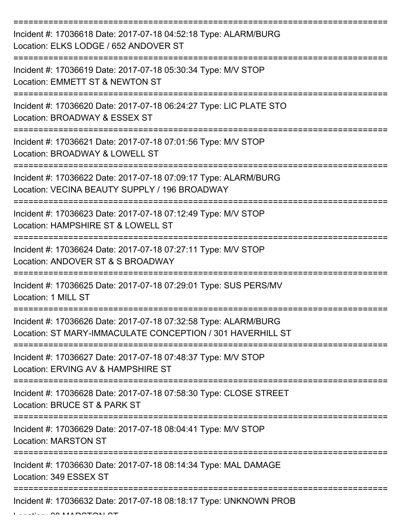| Incident #: 17036618 Date: 2017-07-18 04:52:18 Type: ALARM/BURG<br>Location: ELKS LODGE / 652 ANDOVER ST                      |
|-------------------------------------------------------------------------------------------------------------------------------|
| Incident #: 17036619 Date: 2017-07-18 05:30:34 Type: M/V STOP<br>Location: EMMETT ST & NEWTON ST                              |
| Incident #: 17036620 Date: 2017-07-18 06:24:27 Type: LIC PLATE STO<br>Location: BROADWAY & ESSEX ST                           |
| Incident #: 17036621 Date: 2017-07-18 07:01:56 Type: M/V STOP<br>Location: BROADWAY & LOWELL ST                               |
| Incident #: 17036622 Date: 2017-07-18 07:09:17 Type: ALARM/BURG<br>Location: VECINA BEAUTY SUPPLY / 196 BROADWAY              |
| Incident #: 17036623 Date: 2017-07-18 07:12:49 Type: M/V STOP<br>Location: HAMPSHIRE ST & LOWELL ST                           |
| Incident #: 17036624 Date: 2017-07-18 07:27:11 Type: M/V STOP<br>Location: ANDOVER ST & S BROADWAY                            |
| Incident #: 17036625 Date: 2017-07-18 07:29:01 Type: SUS PERS/MV<br>Location: 1 MILL ST                                       |
| Incident #: 17036626 Date: 2017-07-18 07:32:58 Type: ALARM/BURG<br>Location: ST MARY-IMMACULATE CONCEPTION / 301 HAVERHILL ST |
| Incident #: 17036627 Date: 2017-07-18 07:48:37 Type: M/V STOP<br>Location: ERVING AV & HAMPSHIRE ST                           |
| Incident #: 17036628 Date: 2017-07-18 07:58:30 Type: CLOSE STREET<br>Location: BRUCE ST & PARK ST                             |
| Incident #: 17036629 Date: 2017-07-18 08:04:41 Type: M/V STOP<br><b>Location: MARSTON ST</b>                                  |
| Incident #: 17036630 Date: 2017-07-18 08:14:34 Type: MAL DAMAGE<br>Location: 349 ESSEX ST                                     |
| Incident #: 17036632 Date: 2017-07-18 08:18:17 Type: UNKNOWN PROB                                                             |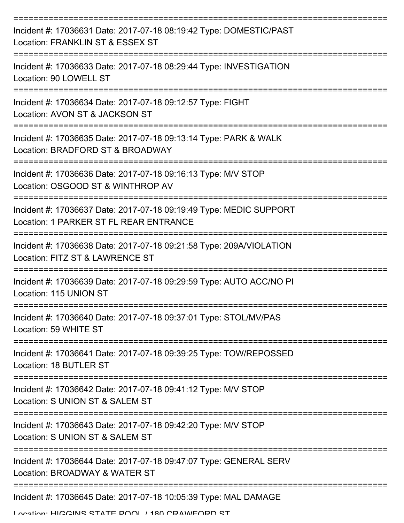| Incident #: 17036631 Date: 2017-07-18 08:19:42 Type: DOMESTIC/PAST<br>Location: FRANKLIN ST & ESSEX ST       |
|--------------------------------------------------------------------------------------------------------------|
| Incident #: 17036633 Date: 2017-07-18 08:29:44 Type: INVESTIGATION<br>Location: 90 LOWELL ST                 |
| Incident #: 17036634 Date: 2017-07-18 09:12:57 Type: FIGHT<br>Location: AVON ST & JACKSON ST                 |
| Incident #: 17036635 Date: 2017-07-18 09:13:14 Type: PARK & WALK<br>Location: BRADFORD ST & BROADWAY         |
| Incident #: 17036636 Date: 2017-07-18 09:16:13 Type: M/V STOP<br>Location: OSGOOD ST & WINTHROP AV           |
| Incident #: 17036637 Date: 2017-07-18 09:19:49 Type: MEDIC SUPPORT<br>Location: 1 PARKER ST FL REAR ENTRANCE |
| Incident #: 17036638 Date: 2017-07-18 09:21:58 Type: 209A/VIOLATION<br>Location: FITZ ST & LAWRENCE ST       |
| Incident #: 17036639 Date: 2017-07-18 09:29:59 Type: AUTO ACC/NO PI<br>Location: 115 UNION ST                |
| Incident #: 17036640 Date: 2017-07-18 09:37:01 Type: STOL/MV/PAS<br>Location: 59 WHITE ST                    |
| Incident #: 17036641 Date: 2017-07-18 09:39:25 Type: TOW/REPOSSED<br>Location: 18 BUTLER ST                  |
| Incident #: 17036642 Date: 2017-07-18 09:41:12 Type: M/V STOP<br>Location: S UNION ST & SALEM ST             |
| Incident #: 17036643 Date: 2017-07-18 09:42:20 Type: M/V STOP<br>Location: S UNION ST & SALEM ST             |
| Incident #: 17036644 Date: 2017-07-18 09:47:07 Type: GENERAL SERV<br>Location: BROADWAY & WATER ST           |
| =========================<br>Incident #: 17036645 Date: 2017-07-18 10:05:39 Type: MAL DAMAGE                 |

Location: HIGGINS STATE DOOL / 180 CDAMEODD ST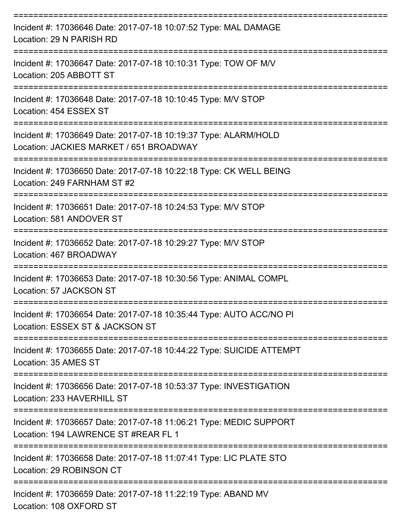| Incident #: 17036646 Date: 2017-07-18 10:07:52 Type: MAL DAMAGE<br>Location: 29 N PARISH RD<br>================================ |
|---------------------------------------------------------------------------------------------------------------------------------|
| Incident #: 17036647 Date: 2017-07-18 10:10:31 Type: TOW OF M/V<br>Location: 205 ABBOTT ST                                      |
| Incident #: 17036648 Date: 2017-07-18 10:10:45 Type: M/V STOP<br>Location: 454 ESSEX ST                                         |
| Incident #: 17036649 Date: 2017-07-18 10:19:37 Type: ALARM/HOLD<br>Location: JACKIES MARKET / 651 BROADWAY                      |
| Incident #: 17036650 Date: 2017-07-18 10:22:18 Type: CK WELL BEING<br>Location: 249 FARNHAM ST #2                               |
| Incident #: 17036651 Date: 2017-07-18 10:24:53 Type: M/V STOP<br>Location: 581 ANDOVER ST                                       |
| Incident #: 17036652 Date: 2017-07-18 10:29:27 Type: M/V STOP<br>Location: 467 BROADWAY                                         |
| Incident #: 17036653 Date: 2017-07-18 10:30:56 Type: ANIMAL COMPL<br>Location: 57 JACKSON ST                                    |
| Incident #: 17036654 Date: 2017-07-18 10:35:44 Type: AUTO ACC/NO PI<br>Location: ESSEX ST & JACKSON ST                          |
| Incident #: 17036655 Date: 2017-07-18 10:44:22 Type: SUICIDE ATTEMPT<br>Location: 35 AMES ST                                    |
| Incident #: 17036656 Date: 2017-07-18 10:53:37 Type: INVESTIGATION<br>Location: 233 HAVERHILL ST                                |
| Incident #: 17036657 Date: 2017-07-18 11:06:21 Type: MEDIC SUPPORT<br>Location: 194 LAWRENCE ST #REAR FL 1                      |
| Incident #: 17036658 Date: 2017-07-18 11:07:41 Type: LIC PLATE STO<br>Location: 29 ROBINSON CT                                  |
| Incident #: 17036659 Date: 2017-07-18 11:22:19 Type: ABAND MV<br>Location: 108 OXFORD ST                                        |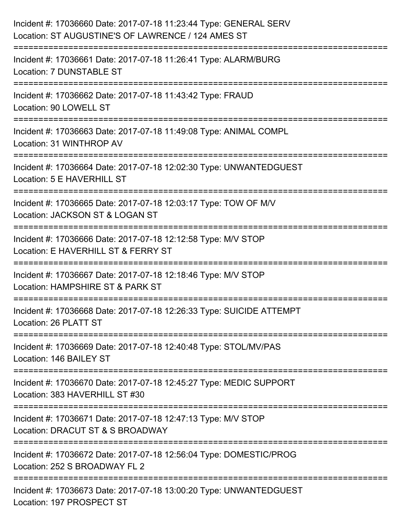| Incident #: 17036660 Date: 2017-07-18 11:23:44 Type: GENERAL SERV<br>Location: ST AUGUSTINE'S OF LAWRENCE / 124 AMES ST                                                   |
|---------------------------------------------------------------------------------------------------------------------------------------------------------------------------|
| :==================================<br>Incident #: 17036661 Date: 2017-07-18 11:26:41 Type: ALARM/BURG<br>Location: 7 DUNSTABLE ST                                        |
| Incident #: 17036662 Date: 2017-07-18 11:43:42 Type: FRAUD<br>Location: 90 LOWELL ST                                                                                      |
| Incident #: 17036663 Date: 2017-07-18 11:49:08 Type: ANIMAL COMPL<br>Location: 31 WINTHROP AV                                                                             |
| Incident #: 17036664 Date: 2017-07-18 12:02:30 Type: UNWANTEDGUEST<br>Location: 5 E HAVERHILL ST                                                                          |
| Incident #: 17036665 Date: 2017-07-18 12:03:17 Type: TOW OF M/V<br>Location: JACKSON ST & LOGAN ST                                                                        |
| :=========================<br>-----------------------------------<br>Incident #: 17036666 Date: 2017-07-18 12:12:58 Type: M/V STOP<br>Location: E HAVERHILL ST & FERRY ST |
| Incident #: 17036667 Date: 2017-07-18 12:18:46 Type: M/V STOP<br>Location: HAMPSHIRE ST & PARK ST                                                                         |
| Incident #: 17036668 Date: 2017-07-18 12:26:33 Type: SUICIDE ATTEMPT<br>Location: 26 PLATT ST                                                                             |
| Incident #: 17036669 Date: 2017-07-18 12:40:48 Type: STOL/MV/PAS<br>Location: 146 BAILEY ST                                                                               |
| Incident #: 17036670 Date: 2017-07-18 12:45:27 Type: MEDIC SUPPORT<br>Location: 383 HAVERHILL ST #30                                                                      |
| Incident #: 17036671 Date: 2017-07-18 12:47:13 Type: M/V STOP<br>Location: DRACUT ST & S BROADWAY                                                                         |
| Incident #: 17036672 Date: 2017-07-18 12:56:04 Type: DOMESTIC/PROG<br>Location: 252 S BROADWAY FL 2                                                                       |
| Incident #: 17036673 Date: 2017-07-18 13:00:20 Type: UNWANTEDGUEST<br>Location: 197 PROSPECT ST                                                                           |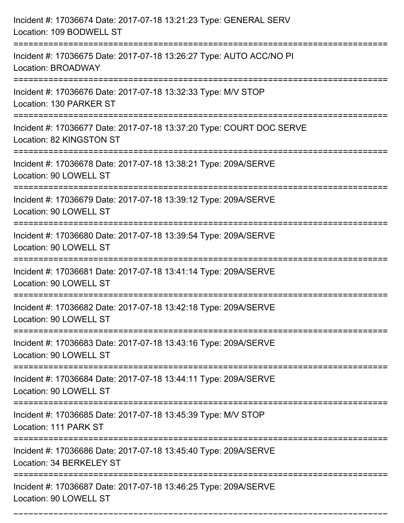| Incident #: 17036674 Date: 2017-07-18 13:21:23 Type: GENERAL SERV<br>Location: 109 BODWELL ST                                |
|------------------------------------------------------------------------------------------------------------------------------|
| Incident #: 17036675 Date: 2017-07-18 13:26:27 Type: AUTO ACC/NO PI<br>Location: BROADWAY                                    |
| Incident #: 17036676 Date: 2017-07-18 13:32:33 Type: M/V STOP<br>Location: 130 PARKER ST                                     |
| Incident #: 17036677 Date: 2017-07-18 13:37:20 Type: COURT DOC SERVE<br>Location: 82 KINGSTON ST                             |
| Incident #: 17036678 Date: 2017-07-18 13:38:21 Type: 209A/SERVE<br>Location: 90 LOWELL ST                                    |
| Incident #: 17036679 Date: 2017-07-18 13:39:12 Type: 209A/SERVE<br>Location: 90 LOWELL ST                                    |
| Incident #: 17036680 Date: 2017-07-18 13:39:54 Type: 209A/SERVE<br>Location: 90 LOWELL ST                                    |
| Incident #: 17036681 Date: 2017-07-18 13:41:14 Type: 209A/SERVE<br>Location: 90 LOWELL ST                                    |
| Incident #: 17036682 Date: 2017-07-18 13:42:18 Type: 209A/SERVE<br>Location: 90 LOWELL ST                                    |
| Incident #: 17036683 Date: 2017-07-18 13:43:16 Type: 209A/SERVE<br>Location: 90 LOWELL ST                                    |
| Incident #: 17036684 Date: 2017-07-18 13:44:11 Type: 209A/SERVE<br>Location: 90 LOWELL ST                                    |
| Incident #: 17036685 Date: 2017-07-18 13:45:39 Type: M/V STOP<br>Location: 111 PARK ST                                       |
| =============================<br>Incident #: 17036686 Date: 2017-07-18 13:45:40 Type: 209A/SERVE<br>Location: 34 BERKELEY ST |
| Incident #: 17036687 Date: 2017-07-18 13:46:25 Type: 209A/SERVE<br>Location: 90 LOWELL ST                                    |

===========================================================================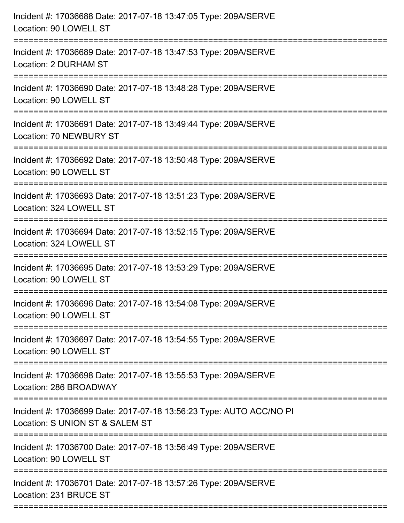| Incident #: 17036688 Date: 2017-07-18 13:47:05 Type: 209A/SERVE<br>Location: 90 LOWELL ST                                        |
|----------------------------------------------------------------------------------------------------------------------------------|
| Incident #: 17036689 Date: 2017-07-18 13:47:53 Type: 209A/SERVE<br>Location: 2 DURHAM ST                                         |
| Incident #: 17036690 Date: 2017-07-18 13:48:28 Type: 209A/SERVE<br>Location: 90 LOWELL ST                                        |
| Incident #: 17036691 Date: 2017-07-18 13:49:44 Type: 209A/SERVE<br>Location: 70 NEWBURY ST                                       |
| Incident #: 17036692 Date: 2017-07-18 13:50:48 Type: 209A/SERVE<br>Location: 90 LOWELL ST<br>===============================     |
| Incident #: 17036693 Date: 2017-07-18 13:51:23 Type: 209A/SERVE<br>Location: 324 LOWELL ST                                       |
| Incident #: 17036694 Date: 2017-07-18 13:52:15 Type: 209A/SERVE<br>Location: 324 LOWELL ST<br>================================== |
| Incident #: 17036695 Date: 2017-07-18 13:53:29 Type: 209A/SERVE<br>Location: 90 LOWELL ST                                        |
| Incident #: 17036696 Date: 2017-07-18 13:54:08 Type: 209A/SERVE<br>Location: 90 LOWELL ST                                        |
| Incident #: 17036697 Date: 2017-07-18 13:54:55 Type: 209A/SERVE<br>Location: 90 LOWELL ST                                        |
| Incident #: 17036698 Date: 2017-07-18 13:55:53 Type: 209A/SERVE<br>Location: 286 BROADWAY                                        |
| Incident #: 17036699 Date: 2017-07-18 13:56:23 Type: AUTO ACC/NO PI<br>Location: S UNION ST & SALEM ST                           |
| Incident #: 17036700 Date: 2017-07-18 13:56:49 Type: 209A/SERVE<br>Location: 90 LOWELL ST                                        |
| Incident #: 17036701 Date: 2017-07-18 13:57:26 Type: 209A/SERVE<br>Location: 231 BRUCE ST                                        |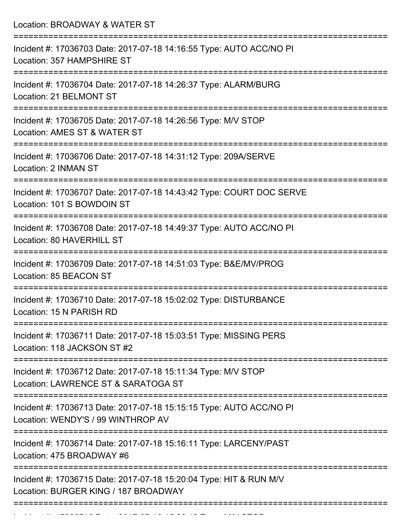Location: BROADWAY & WATER ST =========================================================================== Incident #: 17036703 Date: 2017-07-18 14:16:55 Type: AUTO ACC/NO PI Location: 357 HAMPSHIRE ST =========================================================================== Incident #: 17036704 Date: 2017-07-18 14:26:37 Type: ALARM/BURG Location: 21 BELMONT ST =========================================================================== Incident #: 17036705 Date: 2017-07-18 14:26:56 Type: M/V STOP Location: AMES ST & WATER ST =========================================================================== Incident #: 17036706 Date: 2017-07-18 14:31:12 Type: 209A/SERVE Location: 2 INMAN ST =========================================================================== Incident #: 17036707 Date: 2017-07-18 14:43:42 Type: COURT DOC SERVE Location: 101 S BOWDOIN ST =========================================================================== Incident #: 17036708 Date: 2017-07-18 14:49:37 Type: AUTO ACC/NO PI Location: 80 HAVERHILL ST =========================================================================== Incident #: 17036709 Date: 2017-07-18 14:51:03 Type: B&E/MV/PROG Location: 85 BEACON ST =========================================================================== Incident #: 17036710 Date: 2017-07-18 15:02:02 Type: DISTURBANCE Location: 15 N PARISH RD =========================================================================== Incident #: 17036711 Date: 2017-07-18 15:03:51 Type: MISSING PERS Location: 118 JACKSON ST #2 =========================================================================== Incident #: 17036712 Date: 2017-07-18 15:11:34 Type: M/V STOP Location: LAWRENCE ST & SARATOGA ST =========================================================================== Incident #: 17036713 Date: 2017-07-18 15:15:15 Type: AUTO ACC/NO PI Location: WENDY'S / 99 WINTHROP AV =========================================================================== Incident #: 17036714 Date: 2017-07-18 15:16:11 Type: LARCENY/PAST Location: 475 BROADWAY #6 =========================================================================== Incident #: 17036715 Date: 2017-07-18 15:20:04 Type: HIT & RUN M/V Location: BURGER KING / 187 BROADWAY ===========================================================================

Incident #: 17036716 Date: 2017 07 18 15:26:12 Type: M/V STOP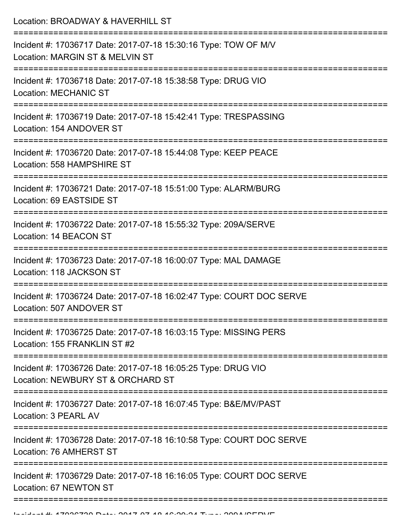Location: BROADWAY & HAVERHILL ST

| Incident #: 17036717 Date: 2017-07-18 15:30:16 Type: TOW OF M/V<br>Location: MARGIN ST & MELVIN ST              |
|-----------------------------------------------------------------------------------------------------------------|
| Incident #: 17036718 Date: 2017-07-18 15:38:58 Type: DRUG VIO<br><b>Location: MECHANIC ST</b>                   |
| Incident #: 17036719 Date: 2017-07-18 15:42:41 Type: TRESPASSING<br>Location: 154 ANDOVER ST                    |
| Incident #: 17036720 Date: 2017-07-18 15:44:08 Type: KEEP PEACE<br>Location: 558 HAMPSHIRE ST<br>============== |
| Incident #: 17036721 Date: 2017-07-18 15:51:00 Type: ALARM/BURG<br>Location: 69 EASTSIDE ST                     |
| Incident #: 17036722 Date: 2017-07-18 15:55:32 Type: 209A/SERVE<br>Location: 14 BEACON ST                       |
| Incident #: 17036723 Date: 2017-07-18 16:00:07 Type: MAL DAMAGE<br>Location: 118 JACKSON ST                     |
| Incident #: 17036724 Date: 2017-07-18 16:02:47 Type: COURT DOC SERVE<br>Location: 507 ANDOVER ST                |
| Incident #: 17036725 Date: 2017-07-18 16:03:15 Type: MISSING PERS<br>Location: 155 FRANKLIN ST #2               |
| Incident #: 17036726 Date: 2017-07-18 16:05:25 Type: DRUG VIO<br>Location: NEWBURY ST & ORCHARD ST              |
| Incident #: 17036727 Date: 2017-07-18 16:07:45 Type: B&E/MV/PAST<br>Location: 3 PEARL AV                        |
| Incident #: 17036728 Date: 2017-07-18 16:10:58 Type: COURT DOC SERVE<br>Location: 76 AMHERST ST                 |
| Incident #: 17036729 Date: 2017-07-18 16:16:05 Type: COURT DOC SERVE<br>Location: 67 NEWTON ST                  |
|                                                                                                                 |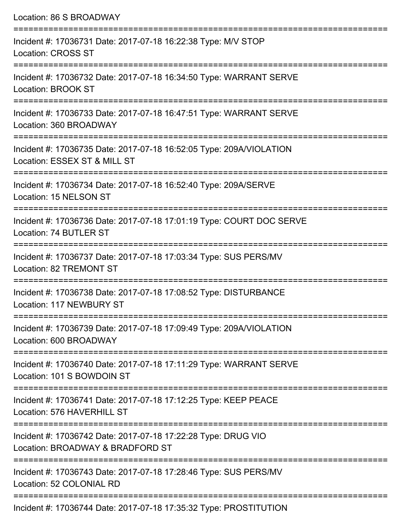| Location: 86 S BROADWAY                                                                                                                      |
|----------------------------------------------------------------------------------------------------------------------------------------------|
| Incident #: 17036731 Date: 2017-07-18 16:22:38 Type: M/V STOP<br><b>Location: CROSS ST</b>                                                   |
| Incident #: 17036732 Date: 2017-07-18 16:34:50 Type: WARRANT SERVE<br>Location: BROOK ST                                                     |
| Incident #: 17036733 Date: 2017-07-18 16:47:51 Type: WARRANT SERVE<br>Location: 360 BROADWAY                                                 |
| Incident #: 17036735 Date: 2017-07-18 16:52:05 Type: 209A/VIOLATION<br>Location: ESSEX ST & MILL ST<br>:==================================== |
| Incident #: 17036734 Date: 2017-07-18 16:52:40 Type: 209A/SERVE<br>Location: 15 NELSON ST                                                    |
| Incident #: 17036736 Date: 2017-07-18 17:01:19 Type: COURT DOC SERVE<br>Location: 74 BUTLER ST<br>----------------------------               |
| Incident #: 17036737 Date: 2017-07-18 17:03:34 Type: SUS PERS/MV<br>Location: 82 TREMONT ST                                                  |
| Incident #: 17036738 Date: 2017-07-18 17:08:52 Type: DISTURBANCE<br>Location: 117 NEWBURY ST                                                 |
| Incident #: 17036739 Date: 2017-07-18 17:09:49 Type: 209A/VIOLATION<br>Location: 600 BROADWAY                                                |
| Incident #: 17036740 Date: 2017-07-18 17:11:29 Type: WARRANT SERVE<br>Location: 101 S BOWDOIN ST                                             |
| Incident #: 17036741 Date: 2017-07-18 17:12:25 Type: KEEP PEACE<br>Location: 576 HAVERHILL ST                                                |
| Incident #: 17036742 Date: 2017-07-18 17:22:28 Type: DRUG VIO<br>Location: BROADWAY & BRADFORD ST                                            |
| Incident #: 17036743 Date: 2017-07-18 17:28:46 Type: SUS PERS/MV<br>Location: 52 COLONIAL RD                                                 |

Incident #: 17036744 Date: 2017-07-18 17:35:32 Type: PROSTITUTION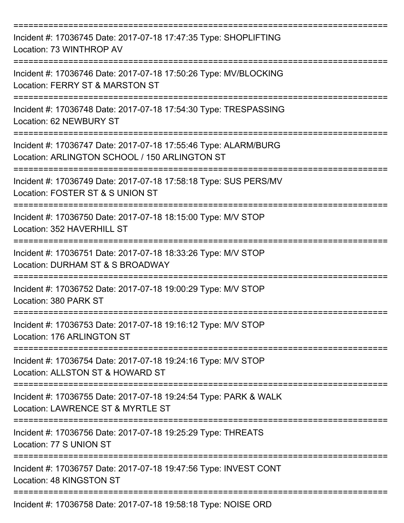| Incident #: 17036745 Date: 2017-07-18 17:47:35 Type: SHOPLIFTING<br>Location: 73 WINTHROP AV                                     |
|----------------------------------------------------------------------------------------------------------------------------------|
| Incident #: 17036746 Date: 2017-07-18 17:50:26 Type: MV/BLOCKING<br>Location: FERRY ST & MARSTON ST                              |
| Incident #: 17036748 Date: 2017-07-18 17:54:30 Type: TRESPASSING<br>Location: 62 NEWBURY ST                                      |
| Incident #: 17036747 Date: 2017-07-18 17:55:46 Type: ALARM/BURG<br>Location: ARLINGTON SCHOOL / 150 ARLINGTON ST                 |
| Incident #: 17036749 Date: 2017-07-18 17:58:18 Type: SUS PERS/MV<br>Location: FOSTER ST & S UNION ST                             |
| Incident #: 17036750 Date: 2017-07-18 18:15:00 Type: M/V STOP<br>Location: 352 HAVERHILL ST<br>================================= |
| Incident #: 17036751 Date: 2017-07-18 18:33:26 Type: M/V STOP<br>Location: DURHAM ST & S BROADWAY                                |
| Incident #: 17036752 Date: 2017-07-18 19:00:29 Type: M/V STOP<br>Location: 380 PARK ST                                           |
| Incident #: 17036753 Date: 2017-07-18 19:16:12 Type: M/V STOP<br>Location: 176 ARLINGTON ST                                      |
| Incident #: 17036754 Date: 2017-07-18 19:24:16 Type: M/V STOP<br>Location: ALLSTON ST & HOWARD ST                                |
| Incident #: 17036755 Date: 2017-07-18 19:24:54 Type: PARK & WALK<br>Location: LAWRENCE ST & MYRTLE ST                            |
| Incident #: 17036756 Date: 2017-07-18 19:25:29 Type: THREATS<br>Location: 77 S UNION ST                                          |
| Incident #: 17036757 Date: 2017-07-18 19:47:56 Type: INVEST CONT<br>Location: 48 KINGSTON ST                                     |
| Incident #: 17036758 Date: 2017-07-18 19:58:18 Type: NOISE ORD                                                                   |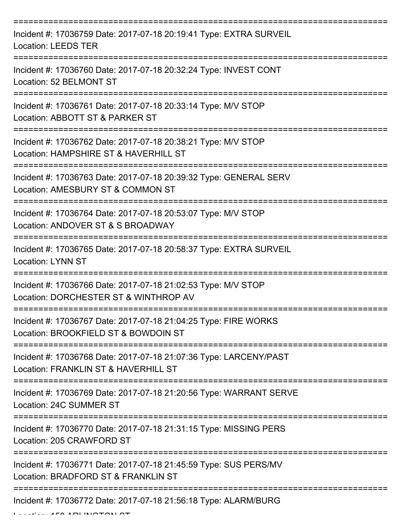| Incident #: 17036759 Date: 2017-07-18 20:19:41 Type: EXTRA SURVEIL<br><b>Location: LEEDS TER</b>          |
|-----------------------------------------------------------------------------------------------------------|
| Incident #: 17036760 Date: 2017-07-18 20:32:24 Type: INVEST CONT<br>Location: 52 BELMONT ST               |
| Incident #: 17036761 Date: 2017-07-18 20:33:14 Type: M/V STOP<br>Location: ABBOTT ST & PARKER ST          |
| Incident #: 17036762 Date: 2017-07-18 20:38:21 Type: M/V STOP<br>Location: HAMPSHIRE ST & HAVERHILL ST    |
| Incident #: 17036763 Date: 2017-07-18 20:39:32 Type: GENERAL SERV<br>Location: AMESBURY ST & COMMON ST    |
| Incident #: 17036764 Date: 2017-07-18 20:53:07 Type: M/V STOP<br>Location: ANDOVER ST & S BROADWAY        |
| Incident #: 17036765 Date: 2017-07-18 20:58:37 Type: EXTRA SURVEIL<br><b>Location: LYNN ST</b>            |
| Incident #: 17036766 Date: 2017-07-18 21:02:53 Type: M/V STOP<br>Location: DORCHESTER ST & WINTHROP AV    |
| Incident #: 17036767 Date: 2017-07-18 21:04:25 Type: FIRE WORKS<br>Location: BROOKFIELD ST & BOWDOIN ST   |
| Incident #: 17036768 Date: 2017-07-18 21:07:36 Type: LARCENY/PAST<br>Location: FRANKLIN ST & HAVERHILL ST |
| Incident #: 17036769 Date: 2017-07-18 21:20:56 Type: WARRANT SERVE<br>Location: 24C SUMMER ST             |
| Incident #: 17036770 Date: 2017-07-18 21:31:15 Type: MISSING PERS<br>Location: 205 CRAWFORD ST            |
| Incident #: 17036771 Date: 2017-07-18 21:45:59 Type: SUS PERS/MV<br>Location: BRADFORD ST & FRANKLIN ST   |
| Incident #: 17036772 Date: 2017-07-18 21:56:18 Type: ALARM/BURG                                           |